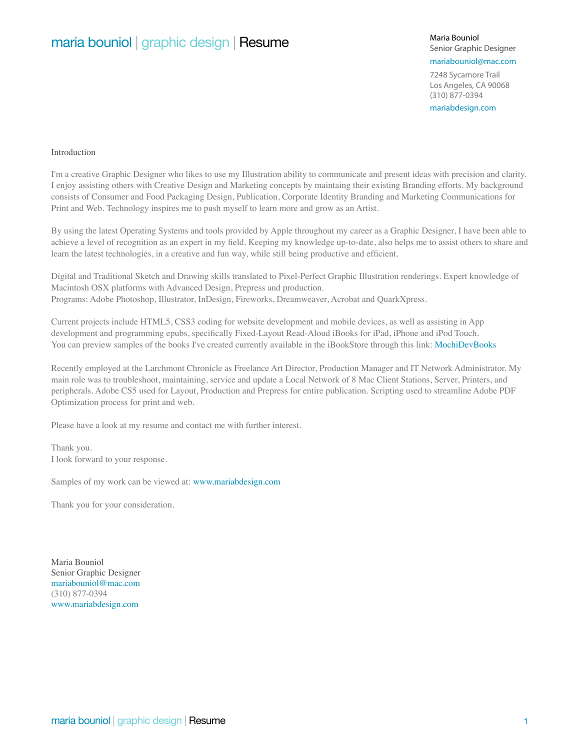# maria bouniol | graphic design | Resume

Senior Graphic Designer

# mariabouniol@mac.com

7248 Sycamore Trail Los Angeles, CA 90068 (310) 877-0394

mariabdesign.com

#### Introduction

I'm a creative Graphic Designer who likes to use my Illustration ability to communicate and present ideas with precision and clarity. I enjoy assisting others with Creative Design and Marketing concepts by maintaing their existing Branding efforts. My background consists of Consumer and Food Packaging Design, Publication, Corporate Identity Branding and Marketing Communications for Print and Web. Technology inspires me to push myself to learn more and grow as an Artist.

By using the latest Operating Systems and tools provided by Apple throughout my career as a Graphic Designer, I have been able to achieve a level of recognition as an expert in my field. Keeping my knowledge up-to-date, also helps me to assist others to share and learn the latest technologies, in a creative and fun way, while still being productive and efficient.

Digital and Traditional Sketch and Drawing skills translated to Pixel-Perfect Graphic Illustration renderings. Expert knowledge of Macintosh OSX platforms with Advanced Design, Prepress and production. Programs: Adobe Photoshop, Illustrator, InDesign, Fireworks, Dreamweaver, Acrobat and QuarkXpress.

Current projects include HTML5, CSS3 coding for website development and mobile devices, as well as assisting in App development and programming epubs, specifically Fixed-Layout Read-Aloud iBooks for iPad, iPhone and iPod Touch. You can preview samples of the books I've created currently available in the iBookStore through this link: MochiDevBooks

Recently employed at the Larchmont Chronicle as Freelance Art Director, Production Manager and IT Network Administrator. My main role was to troubleshoot, maintaining, service and update a Local Network of 8 Mac Client Stations, Server, Printers, and peripherals. Adobe CS5 used for Layout, Production and Prepress for entire publication. Scripting used to streamline Adobe PDF Optimization process for print and web.

Please have a look at my resume and contact me with further interest.

Thank you. I look forward to your response.

Samples of my work can be viewed at: www.mariabdesign.com

Thank you for your consideration.

Maria Bouniol Senior Graphic Designer mariabouniol@mac.com (310) 877-0394 www.mariabdesign.com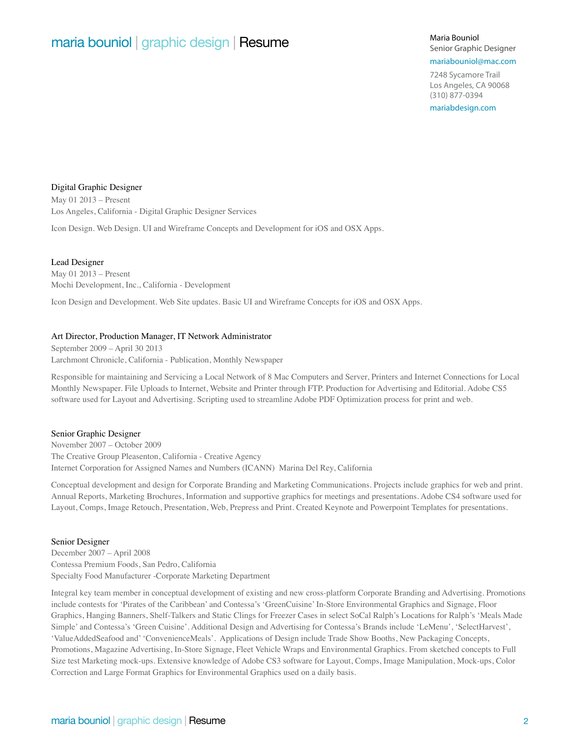# maria bouniol | graphic design | Resume Maria Bouniol Maria Bouniol

Senior Graphic Designer

## mariabouniol@mac.com

7248 Sycamore Trail Los Angeles, CA 90068 (310) 877-0394

mariabdesign.com

### Digital Graphic Designer

May 01 2013 – Present Los Angeles, California - Digital Graphic Designer Services

Icon Design. Web Design. UI and Wireframe Concepts and Development for iOS and OSX Apps.

### Lead Designer

May 01 2013 – Present Mochi Development, Inc., California - Development

Icon Design and Development. Web Site updates. Basic UI and Wireframe Concepts for iOS and OSX Apps.

#### Art Director, Production Manager, IT Network Administrator

September 2009 – April 30 2013 Larchmont Chronicle, California - Publication, Monthly Newspaper

Responsible for maintaining and Servicing a Local Network of 8 Mac Computers and Server, Printers and Internet Connections for Local Monthly Newspaper. File Uploads to Internet, Website and Printer through FTP. Production for Advertising and Editorial. Adobe CS5 software used for Layout and Advertising. Scripting used to streamline Adobe PDF Optimization process for print and web.

#### Senior Graphic Designer

November 2007 – October 2009 The Creative Group Pleasenton, California - Creative Agency Internet Corporation for Assigned Names and Numbers (ICANN) Marina Del Rey, California

Conceptual development and design for Corporate Branding and Marketing Communications. Projects include graphics for web and print. Annual Reports, Marketing Brochures, Information and supportive graphics for meetings and presentations. Adobe CS4 software used for Layout, Comps, Image Retouch, Presentation, Web, Prepress and Print. Created Keynote and Powerpoint Templates for presentations.

#### Senior Designer

December 2007 – April 2008 Contessa Premium Foods, San Pedro, California Specialty Food Manufacturer -Corporate Marketing Department

Integral key team member in conceptual development of existing and new cross-platform Corporate Branding and Advertising. Promotions include contests for 'Pirates of the Caribbean' and Contessa's 'GreenCuisine' In-Store Environmental Graphics and Signage, Floor Graphics, Hanging Banners, Shelf-Talkers and Static Clings for Freezer Cases in select SoCal Ralph's Locations for Ralph's 'Meals Made Simple' and Contessa's 'Green Cuisine'. Additional Design and Advertising for Contessa's Brands include 'LeMenu', 'SelectHarvest', 'ValueAddedSeafood and' 'ConvenienceMeals'. Applications of Design include Trade Show Booths, New Packaging Concepts, Promotions, Magazine Advertising, In-Store Signage, Fleet Vehicle Wraps and Environmental Graphics. From sketched concepts to Full Size test Marketing mock-ups. Extensive knowledge of Adobe CS3 software for Layout, Comps, Image Manipulation, Mock-ups, Color Correction and Large Format Graphics for Environmental Graphics used on a daily basis.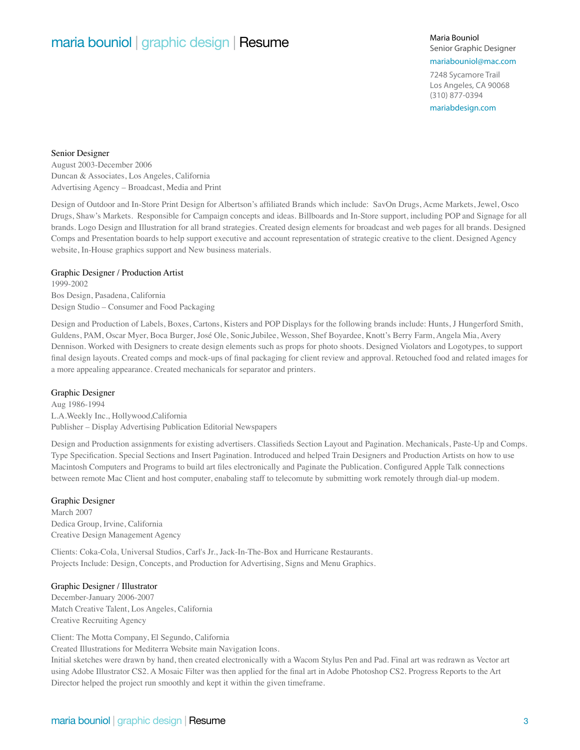# maria bouniol | graphic design | Resume Maria Bouniol Maria Bouniol

Senior Graphic Designer

mariabouniol@mac.com

7248 Sycamore Trail Los Angeles, CA 90068 (310) 877-0394

mariabdesign.com

#### Senior Designer

August 2003-December 2006 Duncan & Associates, Los Angeles, California Advertising Agency – Broadcast, Media and Print

Design of Outdoor and In-Store Print Design for Albertson's affiliated Brands which include: SavOn Drugs, Acme Markets, Jewel, Osco Drugs, Shaw's Markets. Responsible for Campaign concepts and ideas. Billboards and In-Store support, including POP and Signage for all brands. Logo Design and Illustration for all brand strategies. Created design elements for broadcast and web pages for all brands. Designed Comps and Presentation boards to help support executive and account representation of strategic creative to the client. Designed Agency website, In-House graphics support and New business materials.

#### Graphic Designer / Production Artist

1999-2002 Bos Design, Pasadena, California Design Studio – Consumer and Food Packaging

Design and Production of Labels, Boxes, Cartons, Kisters and POP Displays for the following brands include: Hunts, J Hungerford Smith, Guldens, PAM, Oscar Myer, Boca Burger, José Ole, Sonic,Jubilee, Wesson, Shef Boyardee, Knott's Berry Farm, Angela Mia, Avery Dennison. Worked with Designers to create design elements such as props for photo shoots. Designed Violators and Logotypes, to support final design layouts. Created comps and mock-ups of final packaging for client review and approval. Retouched food and related images for a more appealing appearance. Created mechanicals for separator and printers.

### Graphic Designer

Aug 1986-1994 L.A.Weekly Inc., Hollywood,California Publisher – Display Advertising Publication Editorial Newspapers

Design and Production assignments for existing advertisers. Classifieds Section Layout and Pagination. Mechanicals, Paste-Up and Comps. Type Specification. Special Sections and Insert Pagination. Introduced and helped Train Designers and Production Artists on how to use Macintosh Computers and Programs to build art files electronically and Paginate the Publication. Configured Apple Talk connections between remote Mac Client and host computer, enabaling staff to telecomute by submitting work remotely through dial-up modem.

#### Graphic Designer

March 2007 Dedica Group, Irvine, California Creative Design Management Agency

Clients: Coka-Cola, Universal Studios, Carl's Jr., Jack-In-The-Box and Hurricane Restaurants. Projects Include: Design, Concepts, and Production for Advertising, Signs and Menu Graphics.

#### Graphic Designer / Illustrator

December-January 2006-2007 Match Creative Talent, Los Angeles, California Creative Recruiting Agency

Client: The Motta Company, El Segundo, California

Created Illustrations for Mediterra Website main Navigation Icons.

Initial sketches were drawn by hand, then created electronically with a Wacom Stylus Pen and Pad. Final art was redrawn as Vector art using Adobe Illustrator CS2. A Mosaic Filter was then applied for the final art in Adobe Photoshop CS2. Progress Reports to the Art Director helped the project run smoothly and kept it within the given timeframe.